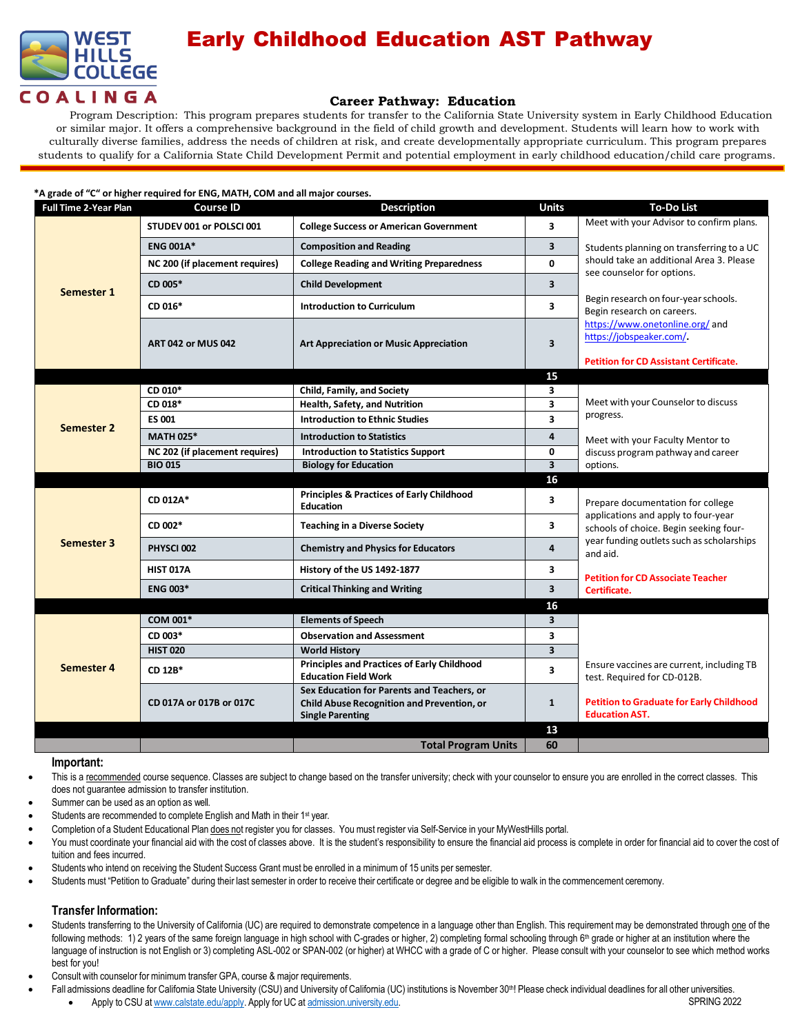

## Early Childhood Education AST Pathway

### **Career Pathway: Education**

Program Description: This program prepares students for transfer to the California State University system in Early Childhood Education or similar major. It offers a comprehensive background in the field of child growth and development. Students will learn how to work with culturally diverse families, address the needs of children at risk, and create developmentally appropriate curriculum. This program prepares students to qualify for a California State Child Development Permit and potential employment in early childhood education/child care programs.

| *A grade of "C" or higher required for ENG, MATH, COM and all major courses. |                                |                                                                                                                            |                         |                                                                                                                            |  |  |  |
|------------------------------------------------------------------------------|--------------------------------|----------------------------------------------------------------------------------------------------------------------------|-------------------------|----------------------------------------------------------------------------------------------------------------------------|--|--|--|
| <b>Full Time 2-Year Plan</b>                                                 | <b>Course ID</b>               | <b>Description</b>                                                                                                         | <b>Units</b>            | <b>To-Do List</b>                                                                                                          |  |  |  |
| Semester 1                                                                   | STUDEV 001 or POLSCI 001       | <b>College Success or American Government</b>                                                                              | $\overline{\mathbf{3}}$ | Meet with your Advisor to confirm plans.                                                                                   |  |  |  |
|                                                                              | <b>ENG 001A*</b>               | <b>Composition and Reading</b>                                                                                             | 3                       | Students planning on transferring to a UC<br>should take an additional Area 3. Please                                      |  |  |  |
|                                                                              | NC 200 (if placement requires) | <b>College Reading and Writing Preparedness</b>                                                                            | $\mathbf{0}$            |                                                                                                                            |  |  |  |
|                                                                              | CD 005*                        | <b>Child Development</b>                                                                                                   | 3                       | see counselor for options.                                                                                                 |  |  |  |
|                                                                              | CD 016*                        | <b>Introduction to Curriculum</b>                                                                                          | 3                       | Begin research on four-year schools.<br>Begin research on careers.                                                         |  |  |  |
|                                                                              | <b>ART 042 or MUS 042</b>      | <b>Art Appreciation or Music Appreciation</b>                                                                              | 3                       | https://www.onetonline.org/ and<br>https://jobspeaker.com/.<br><b>Petition for CD Assistant Certificate.</b>               |  |  |  |
|                                                                              |                                |                                                                                                                            | 15                      |                                                                                                                            |  |  |  |
|                                                                              | CD 010*                        | Child, Family, and Society                                                                                                 | 3                       | Meet with your Counselor to discuss<br>progress.<br>Meet with your Faculty Mentor to<br>discuss program pathway and career |  |  |  |
|                                                                              | CD 018*                        | Health, Safety, and Nutrition                                                                                              | 3                       |                                                                                                                            |  |  |  |
|                                                                              | <b>ES 001</b>                  | <b>Introduction to Ethnic Studies</b>                                                                                      | 3                       |                                                                                                                            |  |  |  |
| <b>Semester 2</b>                                                            | <b>MATH 025*</b>               | <b>Introduction to Statistics</b>                                                                                          | 4                       |                                                                                                                            |  |  |  |
|                                                                              | NC 202 (if placement requires) | <b>Introduction to Statistics Support</b>                                                                                  | $\mathbf 0$             |                                                                                                                            |  |  |  |
|                                                                              | <b>BIO 015</b>                 | <b>Biology for Education</b>                                                                                               | $\overline{\mathbf{3}}$ | options.                                                                                                                   |  |  |  |
|                                                                              |                                |                                                                                                                            | 16                      |                                                                                                                            |  |  |  |
| Semester 3                                                                   | CD 012A*                       | <b>Principles &amp; Practices of Early Childhood</b><br><b>Education</b>                                                   | 3                       | Prepare documentation for college                                                                                          |  |  |  |
|                                                                              | CD 002*                        | <b>Teaching in a Diverse Society</b>                                                                                       | 3                       | applications and apply to four-year<br>schools of choice. Begin seeking four-                                              |  |  |  |
|                                                                              | PHYSCI 002                     | <b>Chemistry and Physics for Educators</b>                                                                                 | $\overline{a}$          | year funding outlets such as scholarships<br>and aid.                                                                      |  |  |  |
|                                                                              | <b>HIST 017A</b>               | History of the US 1492-1877                                                                                                | 3                       | <b>Petition for CD Associate Teacher</b>                                                                                   |  |  |  |
|                                                                              | <b>ENG 003*</b>                | <b>Critical Thinking and Writing</b>                                                                                       | 3                       | Certificate.                                                                                                               |  |  |  |
|                                                                              |                                |                                                                                                                            | 16                      |                                                                                                                            |  |  |  |
| Semester 4                                                                   | COM 001*                       | <b>Elements of Speech</b>                                                                                                  | 3                       |                                                                                                                            |  |  |  |
|                                                                              | CD 003*                        | <b>Observation and Assessment</b>                                                                                          | 3                       |                                                                                                                            |  |  |  |
|                                                                              | <b>HIST 020</b>                | <b>World History</b>                                                                                                       | 3                       |                                                                                                                            |  |  |  |
|                                                                              | CD 12B*                        | <b>Principles and Practices of Early Childhood</b><br><b>Education Field Work</b>                                          | 3                       | Ensure vaccines are current, including TB<br>test. Required for CD-012B.                                                   |  |  |  |
|                                                                              | CD 017A or 017B or 017C        | Sex Education for Parents and Teachers, or<br><b>Child Abuse Recognition and Prevention, or</b><br><b>Single Parenting</b> | 1                       | <b>Petition to Graduate for Early Childhood</b><br><b>Education AST.</b>                                                   |  |  |  |
|                                                                              |                                |                                                                                                                            | 13                      |                                                                                                                            |  |  |  |
|                                                                              |                                | <b>Total Program Units</b>                                                                                                 |                         |                                                                                                                            |  |  |  |

#### **Important:**

- This is a recommended course sequence. Classes are subject to change based on the transfer university; check with your counselor to ensure you are enrolled in the correct classes. This does not guarantee admission to transfer institution. •
- Summer can be used as an option as well. •
- Students are recommended to complete English and Math in their 1<sup>st</sup> year. •
- Completion of a Student Educational Plan does not register you for classes. You must register via Self-Service in your MyWestHills portal. •
- You must coordinate your financial aid with the cost of classes above. It is the student's responsibility to ensure the financial aid process is complete in order for financial aid to cover the cost of tuition and fees incurred. •
- Students who intend on receiving the Student Success Grant must be enrolled in a minimum of 15 units per semester. •
- Students must "Petition to Graduate" during their last semester in order to receive their certificate or degree and be eligible to walk in the commencement ceremony. •

### **Transfer Information:**

•

- Students transferring to the University of California (UC) are required to demonstrate competence in a language other than English. This requirement may be demonstrated through one of the following methods: 1) 2 years of the same foreign language in high school with C-grades or higher, 2) completing formal schooling through 6<sup>th</sup> grade or higher at an institution where the language of instruction is not English or 3) completing ASL-002 or SPAN-002 (or higher) at WHCC with a grade of C or higher. Please consult with your counselor to see which method works best for you! •
- Consult with counselor for minimum transfer GPA, course & major requirements. •
	- Fall admissions deadline for California State University (CSU) and University of California (UC) institutions is November 30th! Please check individual deadlines for all other universities.
		- Apply to CSU at [www.calstate.edu/apply.](http://www.calstate.edu/apply) Apply for UC at [admission.university.edu.](http://www.apply.universityofcalifornia.edu/) SPRING 2022